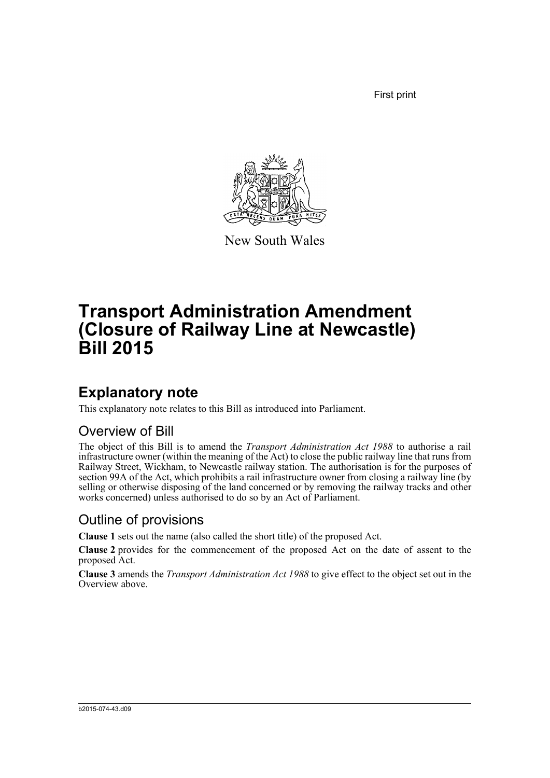First print



New South Wales

# **Transport Administration Amendment (Closure of Railway Line at Newcastle) Bill 2015**

## **Explanatory note**

This explanatory note relates to this Bill as introduced into Parliament.

#### Overview of Bill

The object of this Bill is to amend the *Transport Administration Act 1988* to authorise a rail infrastructure owner (within the meaning of the Act) to close the public railway line that runs from Railway Street, Wickham, to Newcastle railway station. The authorisation is for the purposes of section 99A of the Act, which prohibits a rail infrastructure owner from closing a railway line (by selling or otherwise disposing of the land concerned or by removing the railway tracks and other works concerned) unless authorised to do so by an Act of Parliament.

#### Outline of provisions

**Clause 1** sets out the name (also called the short title) of the proposed Act.

**Clause 2** provides for the commencement of the proposed Act on the date of assent to the proposed Act.

**Clause 3** amends the *Transport Administration Act 1988* to give effect to the object set out in the Overview above.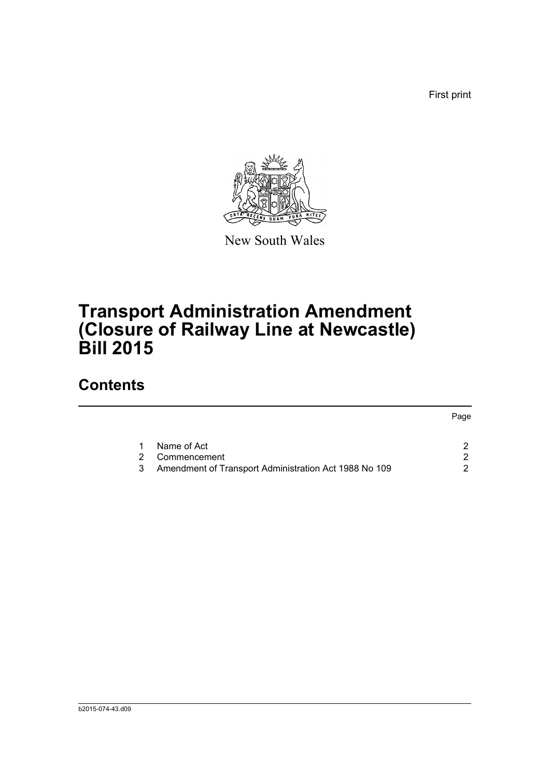First print

Page



New South Wales

# **Transport Administration Amendment (Closure of Railway Line at Newcastle) Bill 2015**

## **Contents**

| 1 Name of Act                                           |  |
|---------------------------------------------------------|--|
| 2 Commencement                                          |  |
| 3 Amendment of Transport Administration Act 1988 No 109 |  |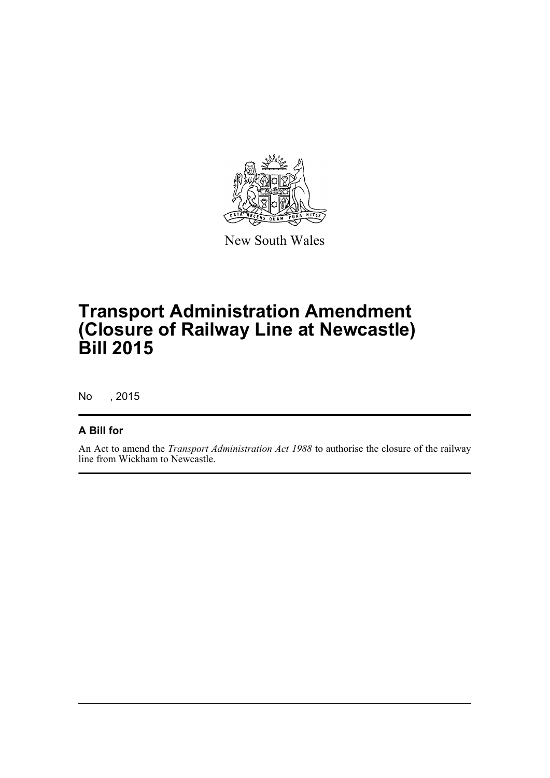

New South Wales

# **Transport Administration Amendment (Closure of Railway Line at Newcastle) Bill 2015**

No , 2015

#### **A Bill for**

An Act to amend the *Transport Administration Act 1988* to authorise the closure of the railway line from Wickham to Newcastle.